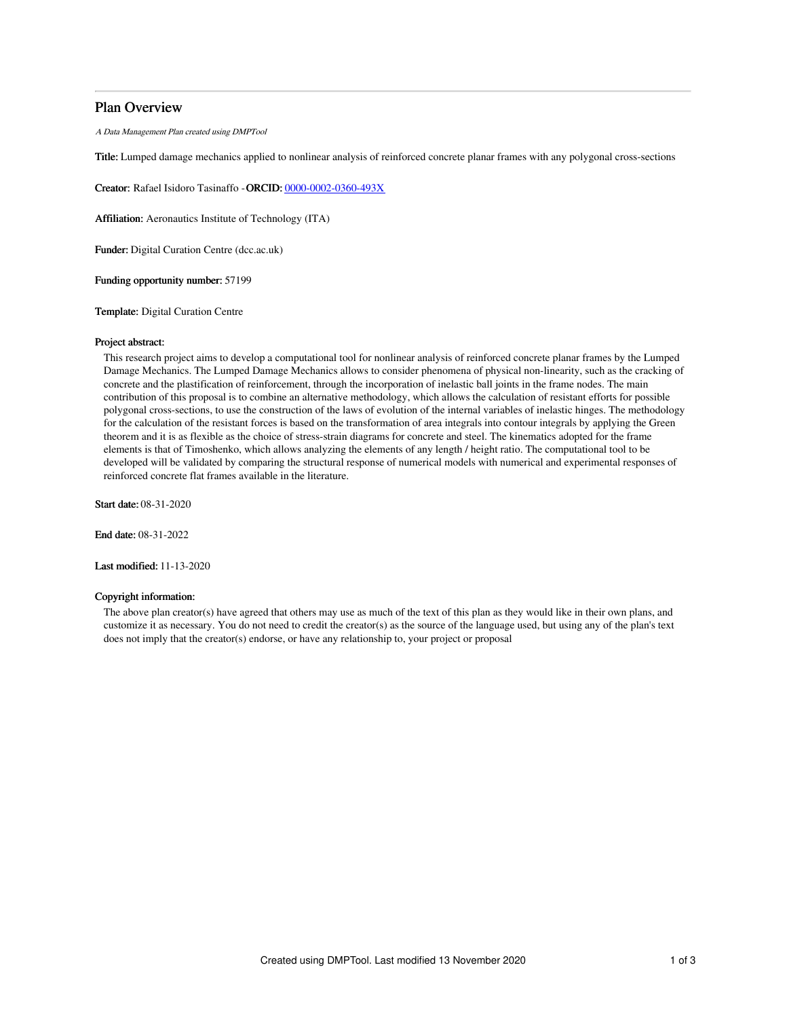# Plan Overview

A Data Management Plan created using DMPTool

Title: Lumped damage mechanics applied to nonlinear analysis of reinforced concrete planar frames with any polygonal cross-sections

Creator: Rafael Isidoro Tasinaffo -ORCID: [0000-0002-0360-493X](https://orcid.org/0000-0002-0360-493X)

Affiliation: Aeronautics Institute of Technology (ITA)

Funder: Digital Curation Centre (dcc.ac.uk)

Funding opportunity number: 57199

Template: Digital Curation Centre

## Project abstract:

This research project aims to develop a computational tool for nonlinear analysis of reinforced concrete planar frames by the Lumped Damage Mechanics. The Lumped Damage Mechanics allows to consider phenomena of physical non-linearity, such as the cracking of concrete and the plastification of reinforcement, through the incorporation of inelastic ball joints in the frame nodes. The main contribution of this proposal is to combine an alternative methodology, which allows the calculation of resistant efforts for possible polygonal cross-sections, to use the construction of the laws of evolution of the internal variables of inelastic hinges. The methodology for the calculation of the resistant forces is based on the transformation of area integrals into contour integrals by applying the Green theorem and it is as flexible as the choice of stress-strain diagrams for concrete and steel. The kinematics adopted for the frame elements is that of Timoshenko, which allows analyzing the elements of any length / height ratio. The computational tool to be developed will be validated by comparing the structural response of numerical models with numerical and experimental responses of reinforced concrete flat frames available in the literature.

Start date: 08-31-2020

End date: 08-31-2022

Last modified: 11-13-2020

### Copyright information:

The above plan creator(s) have agreed that others may use as much of the text of this plan as they would like in their own plans, and customize it as necessary. You do not need to credit the creator(s) as the source of the language used, but using any of the plan's text does not imply that the creator(s) endorse, or have any relationship to, your project or proposal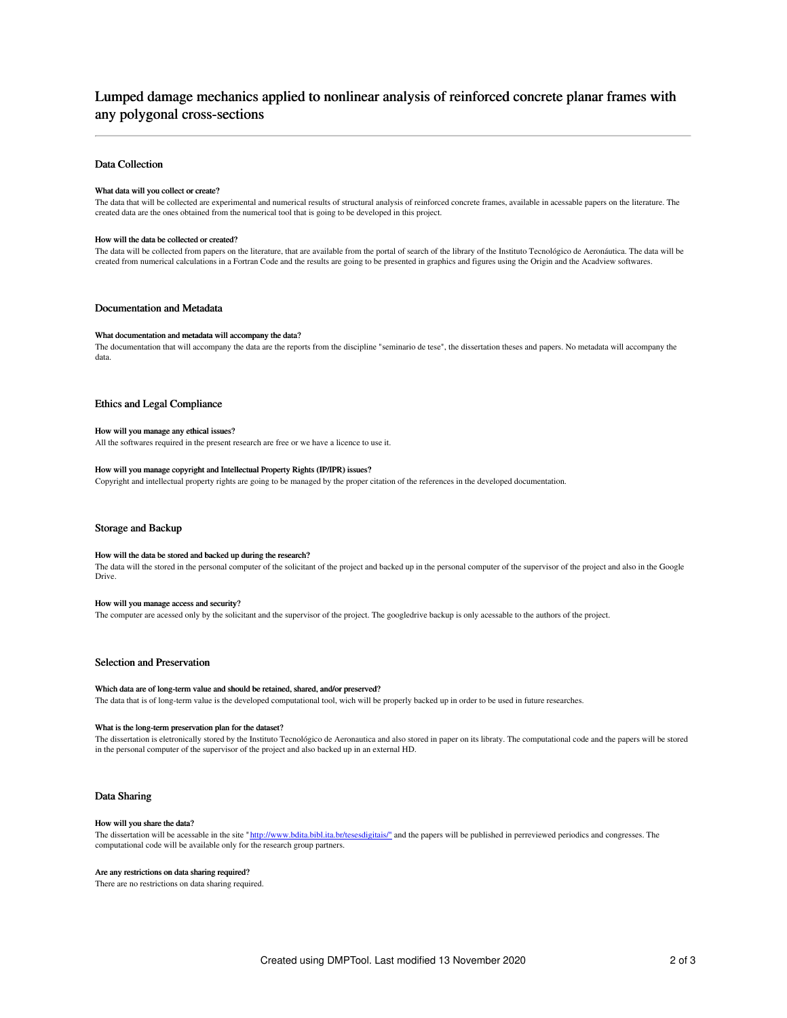# Lumped damage mechanics applied to nonlinear analysis of reinforced concrete planar frames with any polygonal cross-sections

## Data Collection

### What data will you collect or create?

The data that will be collected are experimental and numerical results of structural analysis of reinforced concrete frames, available in acessable papers on the literature. The created data are the ones obtained from the numerical tool that is going to be developed in this project.

#### How will the data be collected or created?

The data will be collected from papers on the literature, that are available from the portal of search of the library of the Instituto Tecnológico de Aeronáutica. The data will be created from numerical calculations in a Fortran Code and the results are going to be presented in graphics and figures using the Origin and the Acadview softwares.

### Documentation and Metadata

#### What documentation and metadata will accompany the data?

The documentation that will accompany the data are the reports from the discipline "seminario de tese", the dissertation theses and papers. No metadata will accompany the data.

# Ethics and Legal Compliance

#### How will you manage any ethical issues?

All the softwares required in the present research are free or we have a licence to use it.

# How will you manage copyright and Intellectual Property Rights (IP/IPR) issues?

Copyright and intellectual property rights are going to be managed by the proper citation of the references in the developed documentation.

### Storage and Backup

#### How will the data be stored and backed up during the research?

The data will the stored in the personal computer of the solicitant of the project and backed up in the personal computer of the supervisor of the project and also in the Google Drive.

#### How will you manage access and security?

The computer are acessed only by the solicitant and the supervisor of the project. The googledrive backup is only acessable to the authors of the project.

# Selection and Preservation

#### Which data are of long-term value and should be retained, shared, and/or preserved?

The data that is of long-term value is the developed computational tool, wich will be properly backed up in order to be used in future researches.

#### What is the long-term preservation plan for the dataset?

The dissertation is eletronically stored by the Instituto Tecnológico de Aeronautica and also stored in paper on its libraty. The computational code and the papers will be stored in the personal computer of the supervisor of the project and also backed up in an external HD.

### Data Sharing

#### How will you share the data?

The dissertation will be acessable in the site ["http://www.bdita.bibl.ita.br/tesesdigitais/"](http://www.bdita.bibl.ita.br/tesesdigitais/%2522) and the papers will be published in perreviewed periodics and congresses. The computational code will be available only for the research group partners.

#### Are any restrictions on data sharing required?

There are no restrictions on data sharing required.